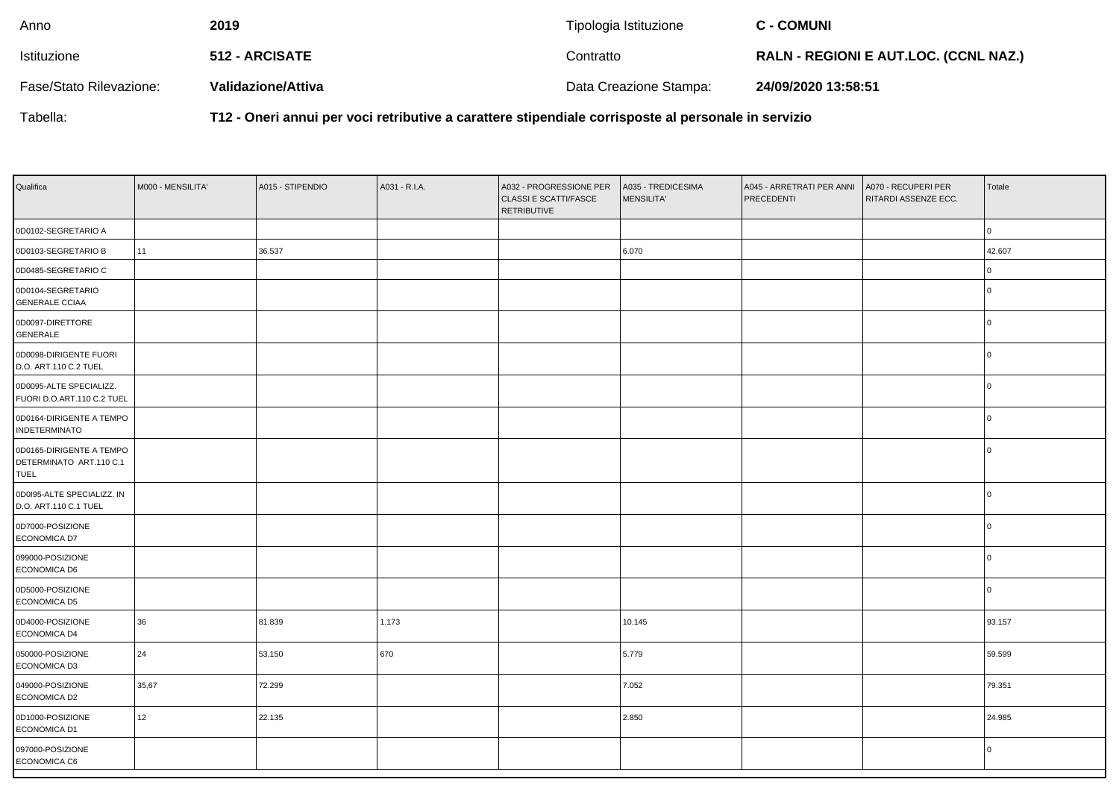| Anno                    | 2019               | Tipologia Istituzione  | <b>C - COMUNI</b>                            |
|-------------------------|--------------------|------------------------|----------------------------------------------|
| Istituzione             | 512 - ARCISATE     | Contratto              | <b>RALN - REGIONI E AUT.LOC. (CCNL NAZ.)</b> |
| Fase/Stato Rilevazione: | Validazione/Attiva | Data Creazione Stampa: | 24/09/2020 13:58:51                          |

Tabella:

**T12 - Oneri annui per voci retributive a carattere stipendiale corrisposte al personale in servizio**

| Qualifica                                                          | M000 - MENSILITA' | A015 - STIPENDIO | A031 - R.I.A. | A032 - PROGRESSIONE PER<br><b>CLASSI E SCATTI/FASCE</b><br><b>RETRIBUTIVE</b> | A035 - TREDICESIMA<br><b>MENSILITA'</b> | A045 - ARRETRATI PER ANNI<br>PRECEDENTI | A070 - RECUPERI PER<br>RITARDI ASSENZE ECC. | Totale   |
|--------------------------------------------------------------------|-------------------|------------------|---------------|-------------------------------------------------------------------------------|-----------------------------------------|-----------------------------------------|---------------------------------------------|----------|
| 0D0102-SEGRETARIO A                                                |                   |                  |               |                                                                               |                                         |                                         |                                             | l 0      |
| 0D0103-SEGRETARIO B                                                | 11                | 36.537           |               |                                                                               | 6.070                                   |                                         |                                             | 42.607   |
| 0D0485-SEGRETARIO C                                                |                   |                  |               |                                                                               |                                         |                                         |                                             | $\Omega$ |
| 0D0104-SEGRETARIO<br><b>GENERALE CCIAA</b>                         |                   |                  |               |                                                                               |                                         |                                         |                                             |          |
| 0D0097-DIRETTORE<br>GENERALE                                       |                   |                  |               |                                                                               |                                         |                                         |                                             | $\Omega$ |
| 0D0098-DIRIGENTE FUORI<br>D.O. ART.110 C.2 TUEL                    |                   |                  |               |                                                                               |                                         |                                         |                                             | $\Omega$ |
| 0D0095-ALTE SPECIALIZZ.<br>FUORI D.O.ART.110 C.2 TUEL              |                   |                  |               |                                                                               |                                         |                                         |                                             | I N      |
| 0D0164-DIRIGENTE A TEMPO<br><b>INDETERMINATO</b>                   |                   |                  |               |                                                                               |                                         |                                         |                                             | $\Omega$ |
| 0D0165-DIRIGENTE A TEMPO<br>DETERMINATO ART.110 C.1<br><b>TUEL</b> |                   |                  |               |                                                                               |                                         |                                         |                                             | $\Omega$ |
| 0D0I95-ALTE SPECIALIZZ. IN<br>D.O. ART.110 C.1 TUEL                |                   |                  |               |                                                                               |                                         |                                         |                                             | $\Omega$ |
| 0D7000-POSIZIONE<br>ECONOMICA D7                                   |                   |                  |               |                                                                               |                                         |                                         |                                             | $\Omega$ |
| 099000-POSIZIONE<br>ECONOMICA D6                                   |                   |                  |               |                                                                               |                                         |                                         |                                             | l n      |
| 0D5000-POSIZIONE<br><b>ECONOMICA D5</b>                            |                   |                  |               |                                                                               |                                         |                                         |                                             | l 0      |
| 0D4000-POSIZIONE<br>ECONOMICA D4                                   | 36                | 81.839           | 1.173         |                                                                               | 10.145                                  |                                         |                                             | 93.157   |
| 050000-POSIZIONE<br>ECONOMICA D3                                   | 24                | 53.150           | 670           |                                                                               | 5.779                                   |                                         |                                             | 59.599   |
| 049000-POSIZIONE<br>ECONOMICA D2                                   | 35,67             | 72.299           |               |                                                                               | 7.052                                   |                                         |                                             | 79.351   |
| 0D1000-POSIZIONE<br>ECONOMICA D1                                   | 12                | 22.135           |               |                                                                               | 2.850                                   |                                         |                                             | 24.985   |
| 097000-POSIZIONE<br>ECONOMICA C6                                   |                   |                  |               |                                                                               |                                         |                                         |                                             | l 0      |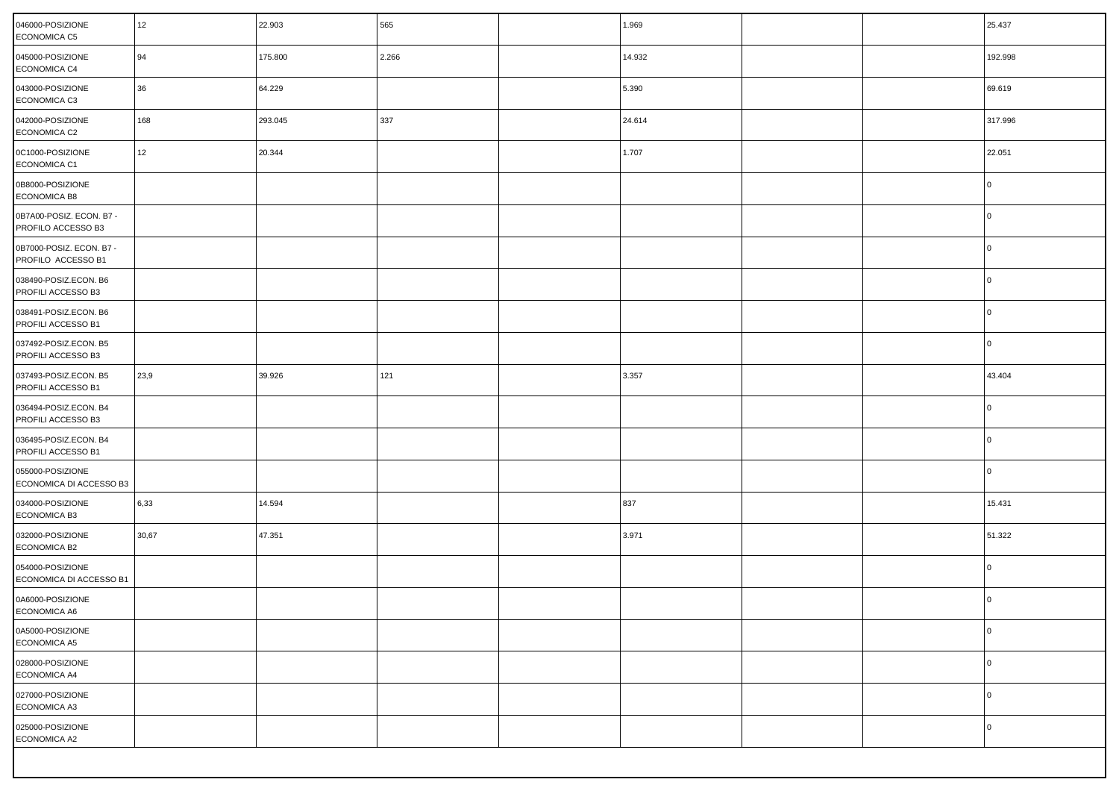| 046000-POSIZIONE<br><b>ECONOMICA C5</b>        | 12    | 22.903  | 565   | 1.969  |  | 25.437  |
|------------------------------------------------|-------|---------|-------|--------|--|---------|
| 045000-POSIZIONE<br>ECONOMICA C4               | 94    | 175.800 | 2.266 | 14.932 |  | 192.998 |
| 043000-POSIZIONE<br>ECONOMICA C3               | 36    | 64.229  |       | 5.390  |  | 69.619  |
| 042000-POSIZIONE<br>ECONOMICA C2               | 168   | 293.045 | 337   | 24.614 |  | 317.996 |
| 0C1000-POSIZIONE<br>ECONOMICA C1               | 12    | 20.344  |       | 1.707  |  | 22.051  |
| 0B8000-POSIZIONE<br><b>ECONOMICA B8</b>        |       |         |       |        |  | l O     |
| 0B7A00-POSIZ. ECON. B7 -<br>PROFILO ACCESSO B3 |       |         |       |        |  | l O     |
| 0B7000-POSIZ. ECON. B7 -<br>PROFILO ACCESSO B1 |       |         |       |        |  | l O     |
| 038490-POSIZ.ECON. B6<br>PROFILI ACCESSO B3    |       |         |       |        |  | l O     |
| 038491-POSIZ.ECON. B6<br>PROFILI ACCESSO B1    |       |         |       |        |  | l O     |
| 037492-POSIZ.ECON. B5<br>PROFILI ACCESSO B3    |       |         |       |        |  | l O     |
| 037493-POSIZ.ECON. B5<br>PROFILI ACCESSO B1    | 23,9  | 39.926  | 121   | 3.357  |  | 43.404  |
| 036494-POSIZ.ECON. B4<br>PROFILI ACCESSO B3    |       |         |       |        |  | l O     |
| 036495-POSIZ.ECON. B4<br>PROFILI ACCESSO B1    |       |         |       |        |  | l O     |
| 055000-POSIZIONE<br>ECONOMICA DI ACCESSO B3    |       |         |       |        |  | l O     |
| 034000-POSIZIONE<br><b>ECONOMICA B3</b>        | 6,33  | 14.594  |       | 837    |  | 15.431  |
| 032000-POSIZIONE<br><b>ECONOMICA B2</b>        | 30,67 | 47.351  |       | 3.971  |  | 51.322  |
| 054000-POSIZIONE<br>ECONOMICA DI ACCESSO B1    |       |         |       |        |  | l 0     |
| 0A6000-POSIZIONE<br>ECONOMICA A6               |       |         |       |        |  | 0       |
| 0A5000-POSIZIONE<br>ECONOMICA A5               |       |         |       |        |  | l O     |
| 028000-POSIZIONE<br>ECONOMICA A4               |       |         |       |        |  | l 0     |
| 027000-POSIZIONE<br>ECONOMICA A3               |       |         |       |        |  | l 0     |
| 025000-POSIZIONE<br>ECONOMICA A2               |       |         |       |        |  | l 0     |
|                                                |       |         |       |        |  |         |